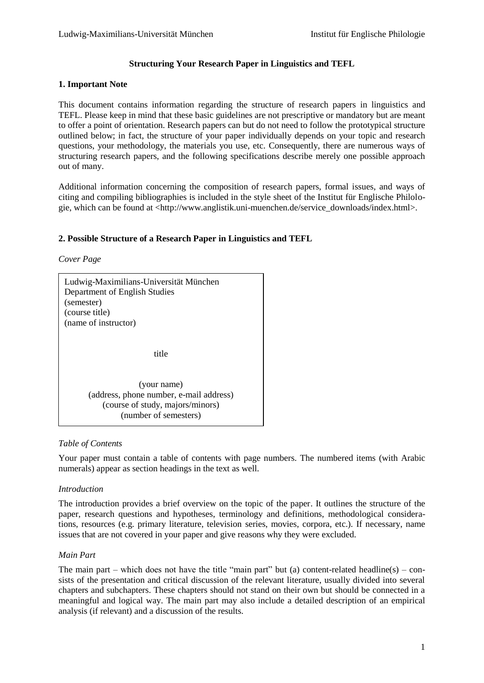## **Structuring Your Research Paper in Linguistics and TEFL**

## **1. Important Note**

This document contains information regarding the structure of research papers in linguistics and TEFL. Please keep in mind that these basic guidelines are not prescriptive or mandatory but are meant to offer a point of orientation. Research papers can but do not need to follow the prototypical structure outlined below; in fact, the structure of your paper individually depends on your topic and research questions, your methodology, the materials you use, etc. Consequently, there are numerous ways of structuring research papers, and the following specifications describe merely one possible approach out of many.

Additional information concerning the composition of research papers, formal issues, and ways of citing and compiling bibliographies is included in the style sheet of the Institut für Englische Philologie, which can be found at <http://www.anglistik.uni-muenchen.de/service\_downloads/index.html>.

## **2. Possible Structure of a Research Paper in Linguistics and TEFL**

*Cover Page*

| Ludwig-Maximilians-Universität München<br>Department of English Studies<br>(semester)<br>(course title)<br>(name of instructor) |
|---------------------------------------------------------------------------------------------------------------------------------|
| title                                                                                                                           |
| (your name)<br>(address, phone number, e-mail address)<br>(course of study, majors/minors)<br>(number of semesters)             |

## *Table of Contents*

Your paper must contain a table of contents with page numbers. The numbered items (with Arabic numerals) appear as section headings in the text as well.

### *Introduction*

The introduction provides a brief overview on the topic of the paper. It outlines the structure of the paper, research questions and hypotheses, terminology and definitions, methodological considerations, resources (e.g. primary literature, television series, movies, corpora, etc.). If necessary, name issues that are not covered in your paper and give reasons why they were excluded.

# *Main Part*

The main part – which does not have the title "main part" but (a) content-related headline(s) – consists of the presentation and critical discussion of the relevant literature, usually divided into several chapters and subchapters. These chapters should not stand on their own but should be connected in a meaningful and logical way. The main part may also include a detailed description of an empirical analysis (if relevant) and a discussion of the results.